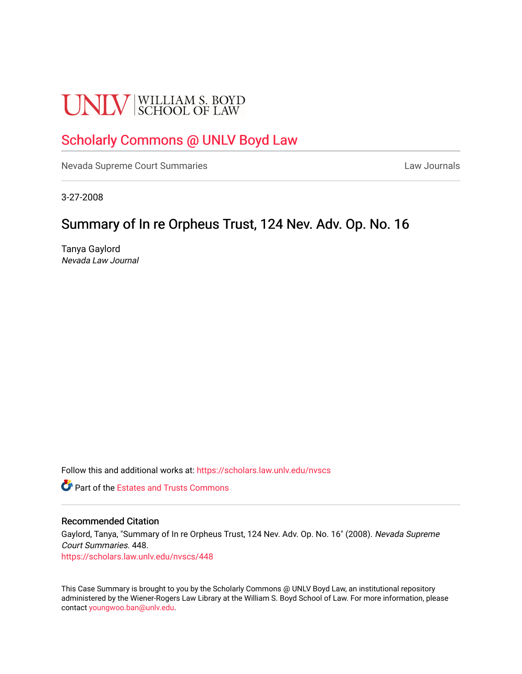# **UNLV** SCHOOL OF LAW

## [Scholarly Commons @ UNLV Boyd Law](https://scholars.law.unlv.edu/)

[Nevada Supreme Court Summaries](https://scholars.law.unlv.edu/nvscs) **Law Journals** Law Journals

3-27-2008

## Summary of In re Orpheus Trust, 124 Nev. Adv. Op. No. 16

Tanya Gaylord Nevada Law Journal

Follow this and additional works at: [https://scholars.law.unlv.edu/nvscs](https://scholars.law.unlv.edu/nvscs?utm_source=scholars.law.unlv.edu%2Fnvscs%2F448&utm_medium=PDF&utm_campaign=PDFCoverPages)

**C**<sup> $\bullet$ </sup> Part of the Estates and Trusts Commons

#### Recommended Citation

Gaylord, Tanya, "Summary of In re Orpheus Trust, 124 Nev. Adv. Op. No. 16" (2008). Nevada Supreme Court Summaries. 448. [https://scholars.law.unlv.edu/nvscs/448](https://scholars.law.unlv.edu/nvscs/448?utm_source=scholars.law.unlv.edu%2Fnvscs%2F448&utm_medium=PDF&utm_campaign=PDFCoverPages)

This Case Summary is brought to you by the Scholarly Commons @ UNLV Boyd Law, an institutional repository administered by the Wiener-Rogers Law Library at the William S. Boyd School of Law. For more information, please contact [youngwoo.ban@unlv.edu](mailto:youngwoo.ban@unlv.edu).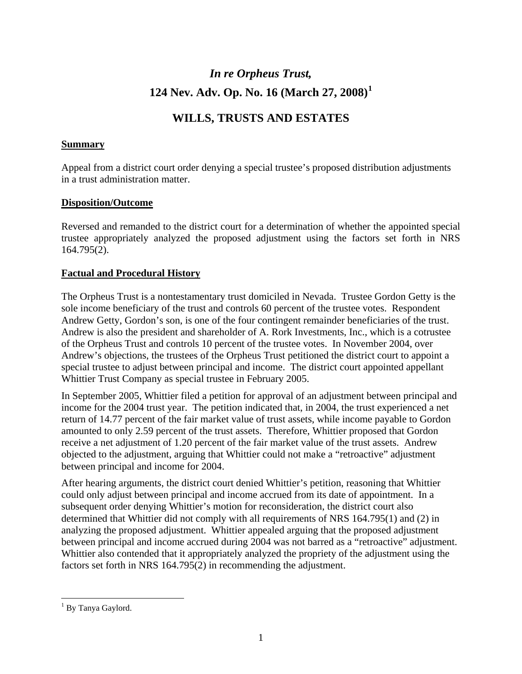## *In re Orpheus Trust,*  **124 Nev. Adv. Op. No. 16 (March 27, 2008)[1](#page-1-0)**

### **WILLS, TRUSTS AND ESTATES**

#### **Summary**

Appeal from a district court order denying a special trustee's proposed distribution adjustments in a trust administration matter.

#### **Disposition/Outcome**

Reversed and remanded to the district court for a determination of whether the appointed special trustee appropriately analyzed the proposed adjustment using the factors set forth in NRS 164.795(2).

#### **Factual and Procedural History**

The Orpheus Trust is a nontestamentary trust domiciled in Nevada. Trustee Gordon Getty is the sole income beneficiary of the trust and controls 60 percent of the trustee votes. Respondent Andrew Getty, Gordon's son, is one of the four contingent remainder beneficiaries of the trust. Andrew is also the president and shareholder of A. Rork Investments, Inc., which is a cotrustee of the Orpheus Trust and controls 10 percent of the trustee votes. In November 2004, over Andrew's objections, the trustees of the Orpheus Trust petitioned the district court to appoint a special trustee to adjust between principal and income. The district court appointed appellant Whittier Trust Company as special trustee in February 2005.

In September 2005, Whittier filed a petition for approval of an adjustment between principal and income for the 2004 trust year. The petition indicated that, in 2004, the trust experienced a net return of 14.77 percent of the fair market value of trust assets, while income payable to Gordon amounted to only 2.59 percent of the trust assets. Therefore, Whittier proposed that Gordon receive a net adjustment of 1.20 percent of the fair market value of the trust assets. Andrew objected to the adjustment, arguing that Whittier could not make a "retroactive" adjustment between principal and income for 2004.

After hearing arguments, the district court denied Whittier's petition, reasoning that Whittier could only adjust between principal and income accrued from its date of appointment. In a subsequent order denying Whittier's motion for reconsideration, the district court also determined that Whittier did not comply with all requirements of NRS 164.795(1) and (2) in analyzing the proposed adjustment. Whittier appealed arguing that the proposed adjustment between principal and income accrued during 2004 was not barred as a "retroactive" adjustment. Whittier also contended that it appropriately analyzed the propriety of the adjustment using the factors set forth in NRS 164.795(2) in recommending the adjustment.

 $\overline{a}$ 

<span id="page-1-0"></span><sup>&</sup>lt;sup>1</sup> By Tanya Gaylord.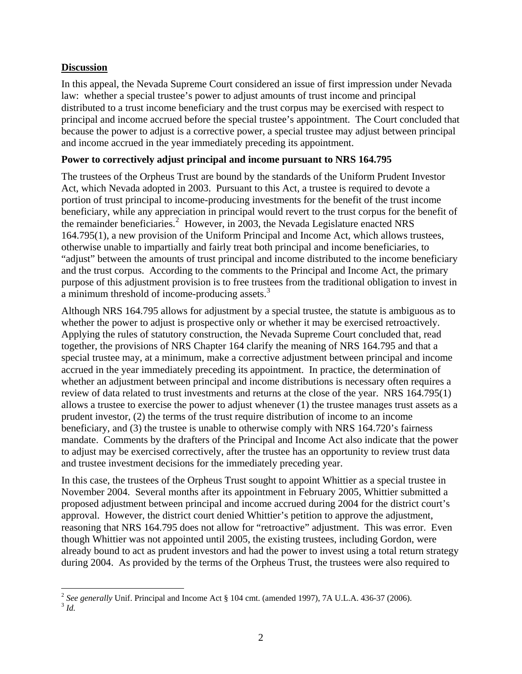#### **Discussion**

In this appeal, the Nevada Supreme Court considered an issue of first impression under Nevada law: whether a special trustee's power to adjust amounts of trust income and principal distributed to a trust income beneficiary and the trust corpus may be exercised with respect to principal and income accrued before the special trustee's appointment. The Court concluded that because the power to adjust is a corrective power, a special trustee may adjust between principal and income accrued in the year immediately preceding its appointment.

#### **Power to correctively adjust principal and income pursuant to NRS 164.795**

The trustees of the Orpheus Trust are bound by the standards of the Uniform Prudent Investor Act, which Nevada adopted in 2003. Pursuant to this Act, a trustee is required to devote a portion of trust principal to income-producing investments for the benefit of the trust income beneficiary, while any appreciation in principal would revert to the trust corpus for the benefit of the remainder beneficiaries.<sup>[2](#page-2-0)</sup> However, in 2003, the Nevada Legislature enacted NRS 164.795(1), a new provision of the Uniform Principal and Income Act, which allows trustees, otherwise unable to impartially and fairly treat both principal and income beneficiaries, to "adjust" between the amounts of trust principal and income distributed to the income beneficiary and the trust corpus. According to the comments to the Principal and Income Act, the primary purpose of this adjustment provision is to free trustees from the traditional obligation to invest in a minimum threshold of income-producing assets.<sup>[3](#page-2-1)</sup>

Although NRS 164.795 allows for adjustment by a special trustee, the statute is ambiguous as to whether the power to adjust is prospective only or whether it may be exercised retroactively. Applying the rules of statutory construction, the Nevada Supreme Court concluded that, read together, the provisions of NRS Chapter 164 clarify the meaning of NRS 164.795 and that a special trustee may, at a minimum, make a corrective adjustment between principal and income accrued in the year immediately preceding its appointment. In practice, the determination of whether an adjustment between principal and income distributions is necessary often requires a review of data related to trust investments and returns at the close of the year. NRS 164.795(1) allows a trustee to exercise the power to adjust whenever (1) the trustee manages trust assets as a prudent investor, (2) the terms of the trust require distribution of income to an income beneficiary, and (3) the trustee is unable to otherwise comply with NRS 164.720's fairness mandate. Comments by the drafters of the Principal and Income Act also indicate that the power to adjust may be exercised correctively, after the trustee has an opportunity to review trust data and trustee investment decisions for the immediately preceding year.

In this case, the trustees of the Orpheus Trust sought to appoint Whittier as a special trustee in November 2004. Several months after its appointment in February 2005, Whittier submitted a proposed adjustment between principal and income accrued during 2004 for the district court's approval. However, the district court denied Whittier's petition to approve the adjustment, reasoning that NRS 164.795 does not allow for "retroactive" adjustment. This was error. Even though Whittier was not appointed until 2005, the existing trustees, including Gordon, were already bound to act as prudent investors and had the power to invest using a total return strategy during 2004. As provided by the terms of the Orpheus Trust, the trustees were also required to

<span id="page-2-1"></span><span id="page-2-0"></span> $\overline{a}$ <sup>2</sup> *See generally* Unif. Principal and Income Act § 104 cmt. (amended 1997), 7A U.L.A. 436-37 (2006). <sup>3</sup> *Id.*